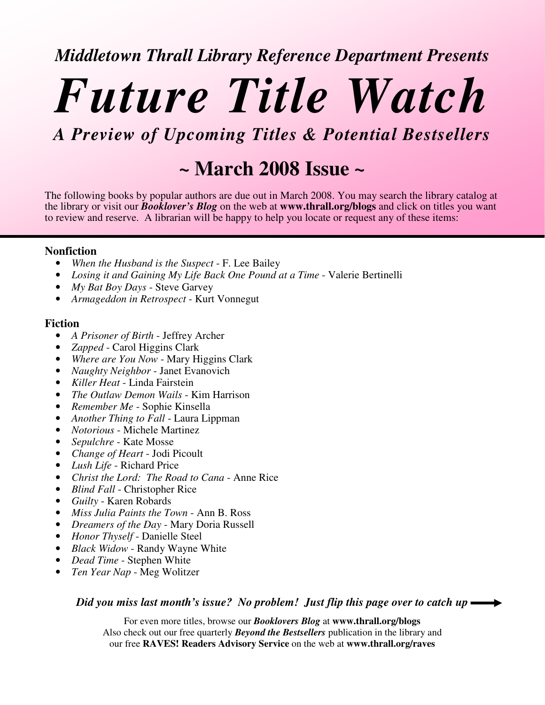### *Middletown Thrall Library Reference Department Presents*

# *Future Title Watch*

*A Preview of Upcoming Titles & Potential Bestsellers*

## **~ March 2008 Issue ~**

The following books by popular authors are due out in March 2008. You may search the library catalog at the library or visit our *Booklover's Blog* on the web at **www.thrall.org/blogs** and click on titles you want to review and reserve. A librarian will be happy to help you locate or request any of these items:

#### **Nonfiction**

- *When the Husband is the Suspect* F. Lee Bailey
- *Losing it and Gaining My Life Back One Pound at a Time* Valerie Bertinelli
- *My Bat Boy Days* Steve Garvey
- *Armageddon in Retrospect* Kurt Vonnegut

#### **Fiction**

- *A Prisoner of Birth* Jeffrey Archer
- *Zapped* Carol Higgins Clark
- *Where are You Now* Mary Higgins Clark
- *Naughty Neighbor* Janet Evanovich
- *Killer Heat* Linda Fairstein
- *The Outlaw Demon Wails* Kim Harrison
- *Remember Me* Sophie Kinsella
- *Another Thing to Fall* Laura Lippman
- *Notorious* Michele Martinez
- *Sepulchre* Kate Mosse
- *Change of Heart* Jodi Picoult
- *Lush Life* Richard Price
- *Christ the Lord: The Road to Cana* Anne Rice
- *Blind Fall* Christopher Rice
- *Guilty* Karen Robards
- *Miss Julia Paints the Town* Ann B. Ross
- *Dreamers of the Day* Mary Doria Russell
- *Honor Thyself* Danielle Steel
- *Black Widow* Randy Wayne White
- *Dead Time* Stephen White
- *Ten Year Nap* Meg Wolitzer

*Did you miss last month's issue? No problem! Just flip this page over to catch up*

For even more titles, browse our *Booklovers Blog* at **www.thrall.org/blogs** Also check out our free quarterly *Beyond the Bestsellers* publication in the library and our free **RAVES! Readers Advisory Service** on the web at **www.thrall.org/raves**